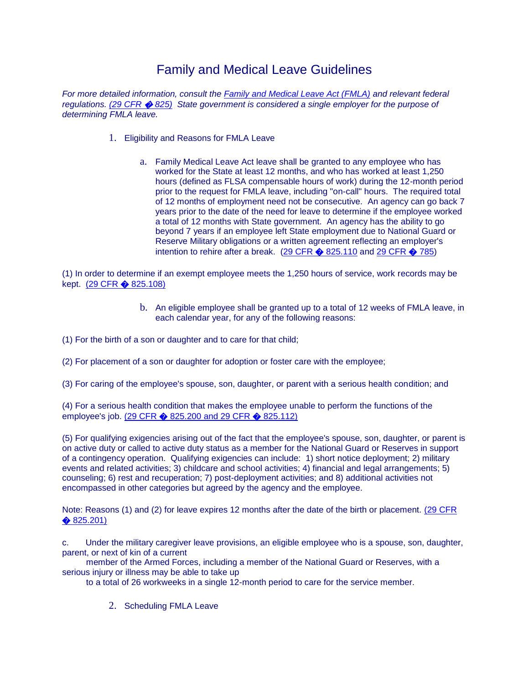## Family and Medical Leave Guidelines

*For more detailed information, consult the [Family and Medical Leave Act \(FMLA\)](http://uscode.house.gov/DOWNLOAD/29C28.DOC) and relevant federal regulations. [\(29 CFR](http://www.access.gpo.gov/nara/cfr/waisidx_00/29cfr825_00.html)* � *825) State government is considered a single employer for the purpose of determining FMLA leave.*

- 1. Eligibility and Reasons for FMLA Leave
	- a. Family Medical Leave Act leave shall be granted to any employee who has worked for the State at least 12 months, and who has worked at least 1,250 hours (defined as FLSA compensable hours of work) during the 12-month period prior to the request for FMLA leave, including "on-call" hours. The required total of 12 months of employment need not be consecutive. An agency can go back 7 years prior to the date of the need for leave to determine if the employee worked a total of 12 months with State government. An agency has the ability to go beyond 7 years if an employee left State employment due to National Guard or Reserve Military obligations or a written agreement reflecting an employer's intention to rehire after a break.  $(29$  CFR  $\diamondsuit$  825.110 and [29 CFR](http://www.access.gpo.gov/nara/cfr/waisidx_00/29cfr785_00.html)  $\diamondsuit$  785)

(1) In order to determine if an exempt employee meets the 1,250 hours of service, work records may be kept. [\(29 CFR](http://www.access.gpo.gov/nara/cfr/waisidx_00/29cfr825_00.html) � 825.108)

> b. An eligible employee shall be granted up to a total of 12 weeks of FMLA leave, in each calendar year, for any of the following reasons:

(1) For the birth of a son or daughter and to care for that child;

(2) For placement of a son or daughter for adoption or foster care with the employee;

(3) For caring of the employee's spouse, son, daughter, or parent with a serious health condition; and

(4) For a serious health condition that makes the employee unable to perform the functions of the employee's job. (29 CFR � [825.200 and 29 CFR](http://www.access.gpo.gov/nara/cfr/waisidx_00/29cfr825_00.html) � 825.112)

(5) For qualifying exigencies arising out of the fact that the employee's spouse, son, daughter, or parent is on active duty or called to active duty status as a member for the National Guard or Reserves in support of a contingency operation. Qualifying exigencies can include: 1) short notice deployment; 2) military events and related activities; 3) childcare and school activities; 4) financial and legal arrangements; 5) counseling; 6) rest and recuperation; 7) post-deployment activities; and 8) additional activities not encompassed in other categories but agreed by the agency and the employee.

Note: Reasons (1) and (2) for leave expires 12 months after the date of the birth or placement. [\(29 CFR](http://www.access.gpo.gov/nara/cfr/waisidx_00/29cfr825_00.html)  � [825.201\)](http://www.access.gpo.gov/nara/cfr/waisidx_00/29cfr825_00.html)

c. Under the military caregiver leave provisions, an eligible employee who is a spouse, son, daughter, parent, or next of kin of a current

 member of the Armed Forces, including a member of the National Guard or Reserves, with a serious injury or illness may be able to take up

to a total of 26 workweeks in a single 12-month period to care for the service member.

2. Scheduling FMLA Leave